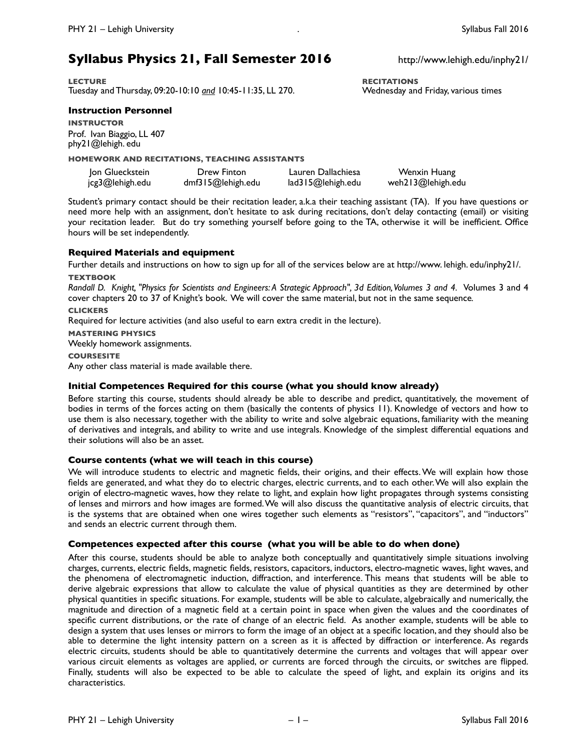# **Syllabus Physics 21, Fall Semester 2016** http://www.lehigh.edu/inphy21/

**LECTURE RECITATIONS** Tuesday and Thursday, 09:20-10:10 *and* 10:45-11:35, LL 270.

## **Instruction Personnel**

**INSTRUCTOR** Prof. Ivan Biaggio, LL 407 [phy21@lehigh. edu](mailto:phy21@lehigh.edu)

**HOMEWORK AND RECITATIONS, TEACHING ASSISTANTS**

| Jon Glueckstein | Drew Finton       | Lauren Dallachiesa | Wenxin Huang      |
|-----------------|-------------------|--------------------|-------------------|
| jcg3@lehigh.edu | dmf315@lehigh.edu | lad315@lehigh.edu  | weh213@lehigh.edu |

Student's primary contact should be their recitation leader, a.k.a their teaching assistant (TA). If you have questions or need more help with an assignment, don't hesitate to ask during recitations, don't delay contacting (email) or visiting your recitation leader. But do try something yourself before going to the TA, otherwise it will be inefficient. Office hours will be set independently.

## **Required Materials and equipment**

Further details and instructions on how to sign up for all of the services below are at [http://www. lehigh. edu/inphy21/.](http://www.lehigh.edu/inphy21/) **TEXTBOOK**

*Randall D. Knight, "Physics for Scientists and Engineers: A Strategic Approach", 3d Edition, Volumes 3 and 4.* Volumes 3 and 4 cover chapters 20 to 37 of Knight's book. We will cover the same material, but not in the same sequence*.* **CLICKERS**

Required for lecture activities (and also useful to earn extra credit in the lecture).

**MASTERING PHYSICS**

Weekly homework assignments.

**COURSESITE**

Any other class material is made available there.

## **Initial Competences Required for this course (what you should know already)**

Before starting this course, students should already be able to describe and predict, quantitatively, the movement of bodies in terms of the forces acting on them (basically the contents of physics 11). Knowledge of vectors and how to use them is also necessary, together with the ability to write and solve algebraic equations, familiarity with the meaning of derivatives and integrals, and ability to write and use integrals. Knowledge of the simplest differential equations and their solutions will also be an asset.

## **Course contents (what we will teach in this course)**

We will introduce students to electric and magnetic fields, their origins, and their effects. We will explain how those fields are generated, and what they do to electric charges, electric currents, and to each other. We will also explain the origin of electro-magnetic waves, how they relate to light, and explain how light propagates through systems consisting of lenses and mirrors and how images are formed. We will also discuss the quantitative analysis of electric circuits, that is the systems that are obtained when one wires together such elements as "resistors", "capacitors", and "inductors" and sends an electric current through them.

## **Competences expected after this course (what you will be able to do when done)**

After this course, students should be able to analyze both conceptually and quantitatively simple situations involving charges, currents, electric fields, magnetic fields, resistors, capacitors, inductors, electro-magnetic waves, light waves, and the phenomena of electromagnetic induction, diffraction, and interference. This means that students will be able to derive algebraic expressions that allow to calculate the value of physical quantities as they are determined by other physical quantities in specific situations. For example, students will be able to calculate, algebraically and numerically, the magnitude and direction of a magnetic field at a certain point in space when given the values and the coordinates of specific current distributions, or the rate of change of an electric field. As another example, students will be able to design a system that uses lenses or mirrors to form the image of an object at a specific location, and they should also be able to determine the light intensity pattern on a screen as it is affected by diffraction or interference. As regards electric circuits, students should be able to quantitatively determine the currents and voltages that will appear over various circuit elements as voltages are applied, or currents are forced through the circuits, or switches are flipped. Finally, students will also be expected to be able to calculate the speed of light, and explain its origins and its characteristics.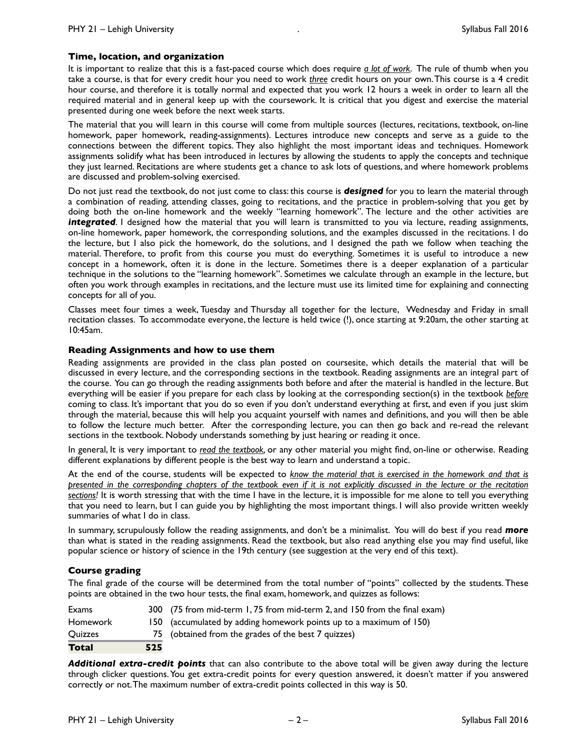## **Time, location, and organization**

It is important to realize that this is a fast-paced course which does require *a lot of work*. The rule of thumb when you take a course, is that for every credit hour you need to work *three* credit hours on your own. This course is a 4 credit hour course, and therefore it is totally normal and expected that you work 12 hours a week in order to learn all the required material and in general keep up with the coursework. It is critical that you digest and exercise the material presented during one week before the next week starts.

The material that you will learn in this course will come from multiple sources (lectures, recitations, textbook, on-line homework, paper homework, reading-assignments). Lectures introduce new concepts and serve as a guide to the connections between the different topics. They also highlight the most important ideas and techniques. Homework assignments solidify what has been introduced in lectures by allowing the students to apply the concepts and technique they just learned. Recitations are where students get a chance to ask lots of questions, and where homework problems are discussed and problem-solving exercised.

Do not just read the textbook, do not just come to class: this course is *designed* for you to learn the material through a combination of reading, attending classes, going to recitations, and the practice in problem-solving that you get by doing both the on-line homework and the weekly "learning homework". The lecture and the other activities are *integrated*. I designed how the material that you will learn is transmitted to you via lecture, reading assignments, on-line homework, paper homework, the corresponding solutions, and the examples discussed in the recitations. I do the lecture, but I also pick the homework, do the solutions, and I designed the path we follow when teaching the material. Therefore, to profit from this course you must do everything. Sometimes it is useful to introduce a new concept in a homework, often it is done in the lecture. Sometimes there is a deeper explanation of a particular technique in the solutions to the "learning homework". Sometimes we calculate through an example in the lecture, but often you work through examples in recitations, and the lecture must use its limited time for explaining and connecting concepts for all of you.

Classes meet four times a week, Tuesday and Thursday all together for the lecture, Wednesday and Friday in small recitation classes. To accommodate everyone, the lecture is held twice (!), once starting at 9:20am, the other starting at 10:45am.

## **Reading Assignments and how to use them**

Reading assignments are provided in the class plan posted on coursesite, which details the material that will be discussed in every lecture, and the corresponding sections in the textbook. Reading assignments are an integral part of the course. You can go through the reading assignments both before and after the material is handled in the lecture. But everything will be easier if you prepare for each class by looking at the corresponding section(s) in the textbook *before* coming to class*.* It's important that you do so even if you don't understand everything at first, and even if you just skim through the material, because this will help you acquaint yourself with names and definitions, and you will then be able to follow the lecture much better. After the corresponding lecture, you can then go back and re-read the relevant sections in the textbook. Nobody understands something by just hearing or reading it once.

In general, It is very important to *read the textbook,* or any other material you might find, on-line or otherwise. Reading different explanations by different people is the best way to learn and understand a topic.

At the end of the course, students will be expected to *know the material that is exercised in the homework and that is presented in the corresponding chapters of the textbook even if it is not explicitly discussed in the lecture or the recitation sections!* It is worth stressing that with the time I have in the lecture, it is impossible for me alone to tell you everything that you need to learn, but I can guide you by highlighting the most important things. I will also provide written weekly summaries of what I do in class.

In summary, scrupulously follow the reading assignments, and don't be a minimalist. You will do best if you read *more* than what is stated in the reading assignments. Read the textbook, but also read anything else you may find useful, like popular science or history of science in the 19th century (see suggestion at the very end of this text).

## **Course grading**

The final grade of the course will be determined from the total number of "points" collected by the students. These points are obtained in the two hour tests, the final exam, homework, and quizzes as follows:

| Exams    |     | 300 (75 from mid-term 1, 75 from mid-term 2, and 150 from the final exam) |
|----------|-----|---------------------------------------------------------------------------|
| Homework |     | 150 (accumulated by adding homework points up to a maximum of 150)        |
| Quizzes  |     | 75 (obtained from the grades of the best 7 quizzes)                       |
| Total    | 525 |                                                                           |

*Additional extra-credit points* that can also contribute to the above total will be given away during the lecture through clicker questions. You get extra-credit points for every question answered, it doesn't matter if you answered correctly or not. The maximum number of extra-credit points collected in this way is 50.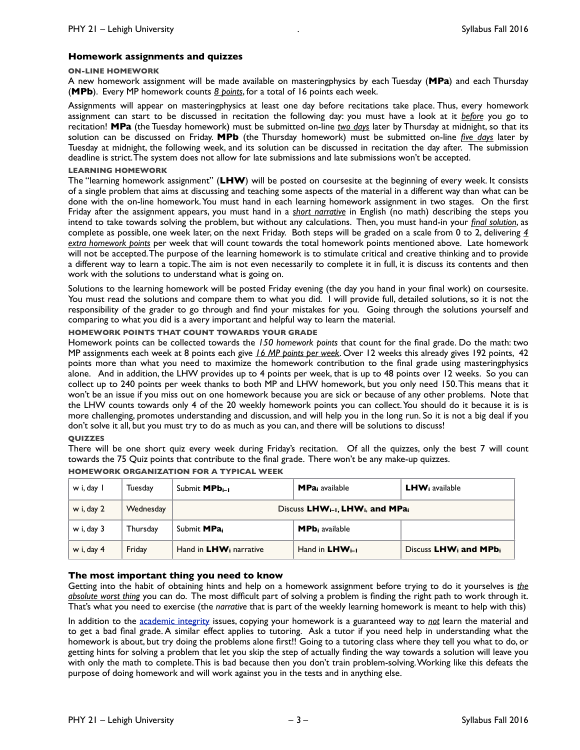## **Homework assignments and quizzes**

#### **ON-LINE HOMEWORK**

A new homework assignment will be made available on masteringphysics by each Tuesday (**MPa**) and each Thursday (**MPb**). Every MP homework counts *8 points*, for a total of 16 points each week.

Assignments will appear on masteringphysics at least one day before recitations take place. Thus, every homework assignment can start to be discussed in recitation the following day: you must have a look at it *before* you go to recitation! **MPa** (the Tuesday homework) must be submitted on-line *two days* later by Thursday at midnight, so that its solution can be discussed on Friday. **MPb** (the Thursday homework) must be submitted on-line *five days* later by Tuesday at midnight, the following week, and its solution can be discussed in recitation the day after. The submission deadline is strict. The system does not allow for late submissions and late submissions won't be accepted.

## **LEARNING HOMEWORK**

The "learning homework assignment" (**LHW**) will be posted on coursesite at the beginning of every week. It consists of a single problem that aims at discussing and teaching some aspects of the material in a different way than what can be done with the on-line homework. You must hand in each learning homework assignment in two stages. On the first Friday after the assignment appears, you must hand in a *short narrative* in English (no math) describing the steps you intend to take towards solving the problem, but without any calculations. Then, you must hand-in your *final solution*, as complete as possible, one week later, on the next Friday. Both steps will be graded on a scale from 0 to 2, delivering *4 extra homework points* per week that will count towards the total homework points mentioned above. Late homework will not be accepted. The purpose of the learning homework is to stimulate critical and creative thinking and to provide a different way to learn a topic. The aim is not even necessarily to complete it in full, it is discuss its contents and then work with the solutions to understand what is going on.

Solutions to the learning homework will be posted Friday evening (the day you hand in your final work) on coursesite. You must read the solutions and compare them to what you did. I will provide full, detailed solutions, so it is not the responsibility of the grader to go through and find your mistakes for you. Going through the solutions yourself and comparing to what you did is a avery important and helpful way to learn the material.

## **HOMEWORK POINTS THAT COUNT TOWARDS YOUR GRADE**

Homework points can be collected towards the *150 homework points* that count for the final grade. Do the math: two MP assignments each week at 8 points each give *16 MP points per week*. Over 12 weeks this already gives 192 points, 42 points more than what you need to maximize the homework contribution to the final grade using masteringphysics alone. And in addition, the LHW provides up to 4 points per week, that is up to 48 points over 12 weeks. So you can collect up to 240 points per week thanks to both MP and LHW homework, but you only need 150. This means that it won't be an issue if you miss out on one homework because you are sick or because of any other problems. Note that the LHW counts towards only 4 of the 20 weekly homework points you can collect. You should do it because it is is more challenging, promotes understanding and discussion, and will help you in the long run. So it is not a big deal if you don't solve it all, but you must try to do as much as you can, and there will be solutions to discuss!

## **QUIZZES**

There will be one short quiz every week during Friday's recitation. Of all the quizzes, only the best 7 will count towards the 75 Quiz points that contribute to the final grade. There won't be any make-up quizzes.

| w i, day l | Tuesday   | Submit <b>MPb</b> <sub>i-1</sub>                                     | <b>MPa</b> <sub>i</sub> available | $LHWi$ available                              |
|------------|-----------|----------------------------------------------------------------------|-----------------------------------|-----------------------------------------------|
| w i, day 2 | Wednesday | Discuss LHW <sub>i-1</sub> , LHW <sub>i</sub> , and MPa <sub>i</sub> |                                   |                                               |
| w i, day 3 | Thursday  | Submit MPa <sub>i</sub>                                              | <b>MPb</b> i available            |                                               |
| w i, day 4 | Friday    | Hand in LHW <sub>i</sub> narrative                                   | Hand in $LHW_{i-1}$               | Discuss LHW <sub>i</sub> and MPb <sub>i</sub> |

## **HOMEWORK ORGANIZATION FOR A TYPICAL WEEK**

## **The most important thing you need to know**

Getting into the habit of obtaining hints and help on a homework assignment before trying to do it yourselves is *the absolute worst thing* you can do. The most difficult part of solving a problem is finding the right path to work through it. That's what you need to exercise (the *narrative* that is part of the weekly learning homework is meant to help with this)

In addition to the [academic integrity](https://citl.lehigh.edu/academic-integrity-resources) issues, copying your homework is a guaranteed way to *not* learn the material and to get a bad final grade. A similar effect applies to tutoring. Ask a tutor if you need help in understanding what the homework is about, but try doing the problems alone first!! Going to a tutoring class where they tell you what to do, or getting hints for solving a problem that let you skip the step of actually finding the way towards a solution will leave you with only the math to complete. This is bad because then you don't train problem-solving. Working like this defeats the purpose of doing homework and will work against you in the tests and in anything else.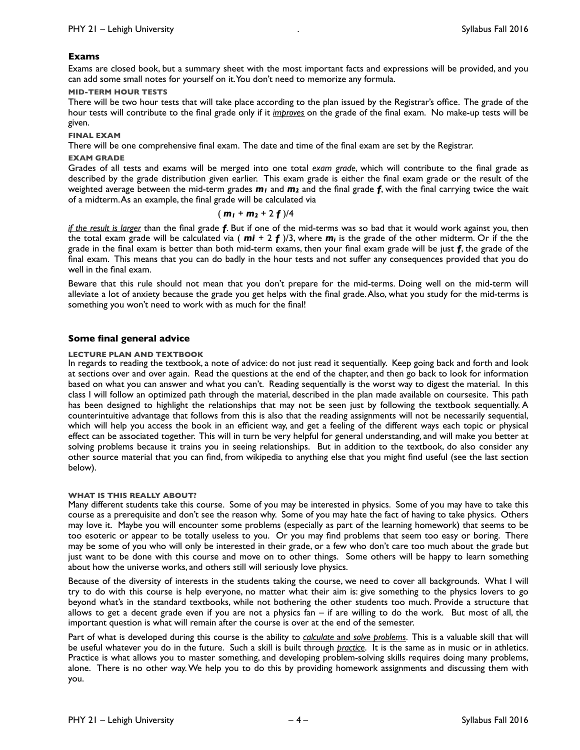## **Exams**

Exams are closed book, but a summary sheet with the most important facts and expressions will be provided, and you can add some small notes for yourself on it. You don't need to memorize any formula.

## **MID-TERM HOUR TESTS**

There will be two hour tests that will take place according to the plan issued by the Registrar's office. The grade of the hour tests will contribute to the final grade only if it *improves* on the grade of the final exam. No make-up tests will be given.

## **FINAL EXAM**

There will be one comprehensive final exam. The date and time of the final exam are set by the Registrar.

## **EXAM GRADE**

Grades of all tests and exams will be merged into one total *exam grade*, which will contribute to the final grade as described by the grade distribution given earlier. This exam grade is either the final exam grade or the result of the weighted average between the mid-term grades *m1* and *m2* and the final grade *f*, with the final carrying twice the wait of a midterm. As an example, the final grade will be calculated via

$$
(m_1 + m_2 + 2f)/4
$$

*if the result is larger* than the final grade *f*. But if one of the mid-terms was so bad that it would work against you, then the total exam grade will be calculated via ( *mi* + 2 *f* )/3, where *mi* is the grade of the other midterm. Or if the the grade in the final exam is better than both mid-term exams, then your final exam grade will be just *f*, the grade of the final exam. This means that you can do badly in the hour tests and not suffer any consequences provided that you do well in the final exam.

Beware that this rule should not mean that you don't prepare for the mid-terms. Doing well on the mid-term will alleviate a lot of anxiety because the grade you get helps with the final grade. Also, what you study for the mid-terms is something you won't need to work with as much for the final!

## **Some final general advice**

## **LECTURE PLAN AND TEXTBOOK**

In regards to reading the textbook, a note of advice: do not just read it sequentially. Keep going back and forth and look at sections over and over again. Read the questions at the end of the chapter, and then go back to look for information based on what you can answer and what you can't. Reading sequentially is the worst way to digest the material. In this class I will follow an optimized path through the material, described in the plan made available on coursesite. This path has been designed to highlight the relationships that may not be seen just by following the textbook sequentially. A counterintuitive advantage that follows from this is also that the reading assignments will not be necessarily sequential, which will help you access the book in an efficient way, and get a feeling of the different ways each topic or physical effect can be associated together. This will in turn be very helpful for general understanding, and will make you better at solving problems because it trains you in seeing relationships. But in addition to the textbook, do also consider any other source material that you can find, from wikipedia to anything else that you might find useful (see the last section below).

## **WHAT IS THIS REALLY ABOUT?**

Many different students take this course. Some of you may be interested in physics. Some of you may have to take this course as a prerequisite and don't see the reason why. Some of you may hate the fact of having to take physics. Others may love it. Maybe you will encounter some problems (especially as part of the learning homework) that seems to be too esoteric or appear to be totally useless to you. Or you may find problems that seem too easy or boring. There may be some of you who will only be interested in their grade, or a few who don't care too much about the grade but just want to be done with this course and move on to other things. Some others will be happy to learn something about how the universe works, and others still will seriously love physics.

Because of the diversity of interests in the students taking the course, we need to cover all backgrounds. What I will try to do with this course is help everyone, no matter what their aim is: give something to the physics lovers to go beyond what's in the standard textbooks, while not bothering the other students too much. Provide a structure that allows to get a decent grade even if you are not a physics fan – if are willing to do the work. But most of all, the important question is what will remain after the course is over at the end of the semester.

Part of what is developed during this course is the ability to *calculate* and *solve problems*. This is a valuable skill that will be useful whatever you do in the future. Such a skill is built through *practice*. It is the same as in music or in athletics. Practice is what allows you to master something, and developing problem-solving skills requires doing many problems, alone. There is no other way. We help you to do this by providing homework assignments and discussing them with you.